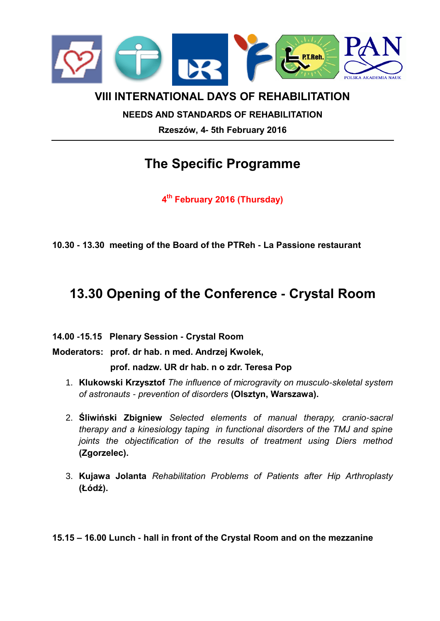

## **VIII INTERNATIONAL DAYS OF REHABILITATION**

## **NEEDS AND STANDARDS OF REHABILITATION Rzeszów, 4- 5th February 2016**

# **The Specific Programme**

**4 th February 2016 (Thursday)**

**10.30 - 13.30 meeting of the Board of the PTReh - La Passione restaurant**

## **13.30 Opening of the Conference - Crystal Room**

**14.00 -15.15 Plenary Session - Crystal Room**

**Moderators: prof. dr hab. n med. Andrzej Kwolek,** 

**prof. nadzw. UR dr hab. n o zdr. Teresa Pop**

- 1. **Klukowski Krzysztof** *The influence of microgravity on musculo-skeletal system of astronauts - prevention of disorders* **(Olsztyn, Warszawa).**
- 2. **Śliwiński Zbigniew** *Selected elements of manual therapy, cranio-sacral therapy and a kinesiology taping in functional disorders of the TMJ and spine joints the objectification of the results of treatment using Diers method*  **(Zgorzelec).**
- 3. **Kujawa Jolanta** *Rehabilitation Problems of Patients after Hip Arthroplasty* **(Łódź).**

**15.15 – 16.00 Lunch - hall in front of the Crystal Room and on the mezzanine**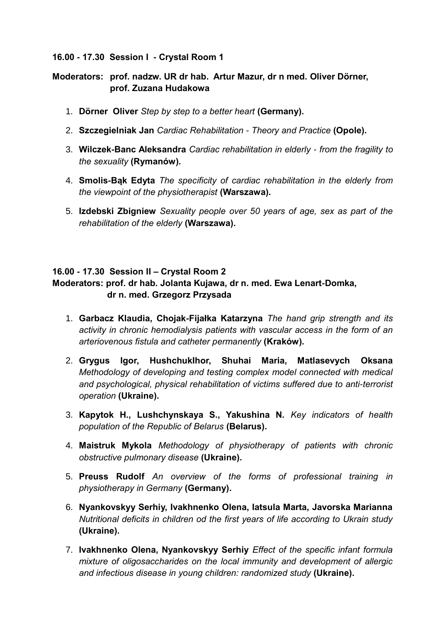### **16.00 - 17.30 Session I - Crystal Room 1**

## **Moderators: prof. nadzw. UR dr hab. Artur Mazur, dr n med. Oliver Dörner, prof. Zuzana Hudakowa**

- 1. **Dörner Oliver** *Step by step to a better heart* **(Germany).**
- 2. **Szczegielniak Jan** *Cardiac Rehabilitation - Theory and Practice* **(Opole).**
- 3. **Wilczek-Banc Aleksandra** *Cardiac rehabilitation in elderly - from the fragility to the sexuality* **(Rymanów).**
- 4. **Smolis-Bąk Edyta** *The specificity of cardiac rehabilitation in the elderly from the viewpoint of the physiotherapist* **(Warszawa).**
- 5. **Izdebski Zbigniew** *Sexuality people over 50 years of age, sex as part of the rehabilitation of the elderly* **(Warszawa).**

## **16.00 - 17.30 Session II – Crystal Room 2**

## **Moderators: prof. dr hab. Jolanta Kujawa, dr n. med. Ewa Lenart-Domka, dr n. med. Grzegorz Przysada**

- 1. **Garbacz Klaudia, Chojak-Fijałka Katarzyna** *The hand grip strength and its activity in chronic hemodialysis patients with vascular access in the form of an arteriovenous fistula and catheter permanently* **(Kraków).**
- 2. **Grygus Igor, HushchukIhor, Shuhai Maria, Matlasevych Oksana** *Methodology of developing and testing complex model connected with medical and psychological, physical rehabilitation of victims suffered due to anti-terrorist operation* **(Ukraine).**
- 3. **Kapytok Н., Lushchynskaya S., Yakushina N.** *Key indicators of health population of the Republic of Belarus* **(Belarus).**
- 4. **Maistruk Mykola** *Methodology of physiotherapy of patients with chronic obstructive pulmonary disease* **(Ukraine).**
- 5. **Preuss Rudolf** *An overview of the forms of professional training in physiotherapy in Germany* **(Germany).**
- 6. **Nyankovskyy Serhiy, Ivakhnenko Olena, Iatsula Marta, Javorska Marianna** *Nutritional deficits in children od the first years of life according to Ukrain study*  **(Ukraine).**
- 7. **Ivakhnenko Olena, Nyankovskyy Serhiy** *Effect of the specific infant formula mixture of oligosaccharides on the local immunity and development of allergic and infectious disease in young children: randomized study* **(Ukraine).**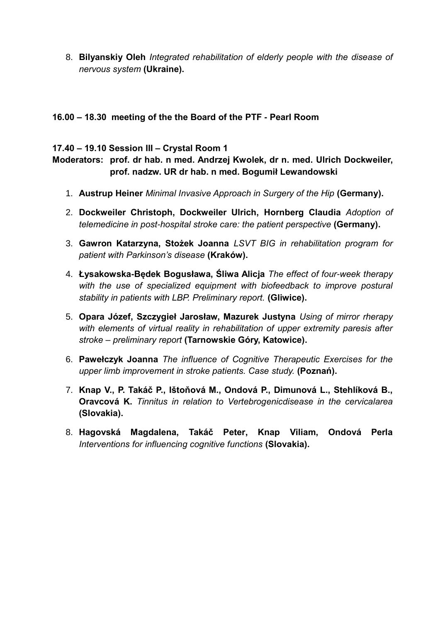8. **Bilyanskiy Oleh** *Integrated rehabilitation of elderly people with the disease of nervous system* **(Ukraine).**

## **16.00 – 18.30 meeting of the the Board of the PTF - Pearl Room**

### **17.40 – 19.10 Session III – Crystal Room 1**

## **Moderators: prof. dr hab. n med. Andrzej Kwolek, dr n. med. Ulrich Dockweiler, prof. nadzw. UR dr hab. n med. Bogumił Lewandowski**

- 1. **Austrup Heiner** *Minimal Invasive Approach in Surgery of the Hip* **(Germany).**
- 2. **Dockweiler Christoph, Dockweiler Ulrich, Hornberg Claudia** *Adoption of telemedicine in post-hospital stroke care: the patient perspective* **(Germany).**
- 3. **Gawron Katarzyna, Stożek Joanna** *LSVT BIG in rehabilitation program for patient with Parkinson's disease* **(Kraków).**
- 4. **Łysakowska-Będek Bogusława, Śliwa Alicja** *The effect of four-week therapy*  with the use of specialized equipment with biofeedback to improve postural *stability in patients with LBP. Preliminary report.* **(Gliwice).**
- 5. **Opara Józef, Szczygieł Jarosław, Mazurek Justyna** *Using of mirror rherapy*  with elements of virtual reality in rehabilitation of upper extremity paresis after *stroke – preliminary report* **(Tarnowskie Góry, Katowice).**
- 6. **Pawełczyk Joanna** *The influence of Cognitive Therapeutic Exercises for the upper limb improvement in stroke patients. Case study.* **(Poznań).**
- 7. **Knap V., P. Takáč P., Ištoňová M., Ondová P., Dimunová L., Stehlíková B., Oravcová K.** *Tinnitus in relation to Vertebrogenicdisease in the cervicalarea* **(Slovakia).**
- 8. **Hagovská Magdalena, Takáč Peter, Knap Viliam, Ondová Perla** *Interventions for influencing cognitive functions* **(Slovakia).**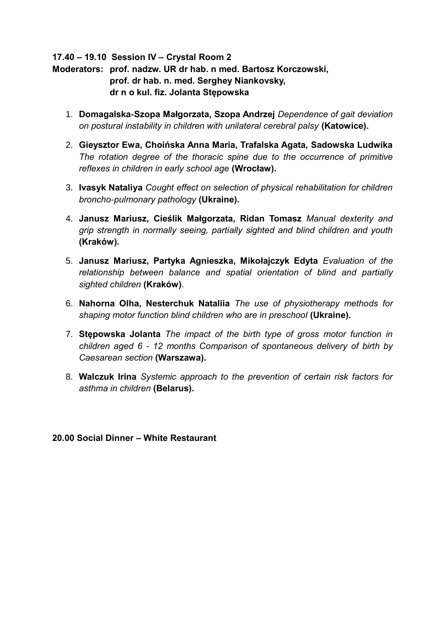**17.40 – 19.10 Session IV – Crystal Room 2** 

**Moderators: prof. nadzw. UR dr hab. n med. Bartosz Korczowski, prof. dr hab. n. med. Serghey Niankovsky, dr n o kul. fiz. Jolanta Stępowska**

- 1. **Domagalska-Szopa Małgorzata, Szopa Andrzej** *Dependence of gait deviation on postural instability in children with unilateral cerebral palsy* **(Katowice).**
- 2. **Gieysztor Ewa, Choińska Anna Maria, Trafalska Agata, Sadowska Ludwika** *The rotation degree of the thoracic spine due to the occurrence of primitive reflexes in children in early school age* **(Wrocław).**
- 3. **Ivasyk Nataliya** *Cought effect on selection of physical rehabilitation for children broncho-pulmonary pathology* **(Ukraine).**
- 4. **Janusz Mariusz, Cieślik Małgorzata, Ridan Tomasz** *Manual dexterity and grip strength in normally seeing, partially sighted and blind children and youth*  **(Kraków).**
- 5. **Janusz Mariusz, Partyka Agnieszka, Mikołajczyk Edyta** *Evaluation of the relationship between balance and spatial orientation of blind and partially sighted children* **(Kraków)**.
- 6. **Nahorna Olha, Nesterchuk Nataliia** *The use of physiotherapy methods for shaping motor function blind children who are in preschool* **(Ukraine).**
- 7. **Stępowska Jolanta** *The impact of the birth type of gross motor function in children aged 6 - 12 months Comparison of spontaneous delivery of birth by Caesarean section* **(Warszawa).**
- 8. **Walczuk Irina** *Systemic approach to the prevention of certain risk factors for asthma in children* **(Belarus).**

**20.00 Social Dinner – White Restaurant**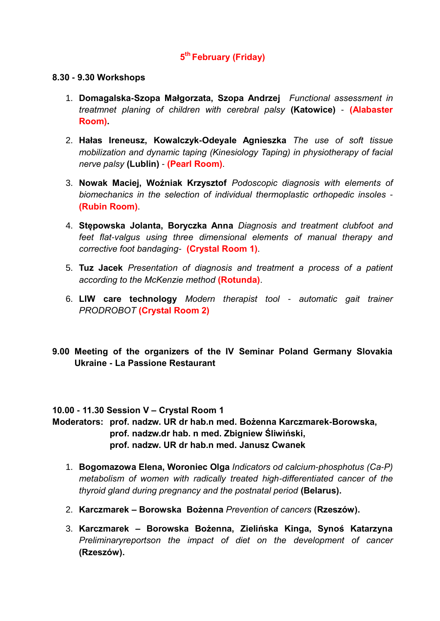## **5 th February (Friday)**

#### **8.30 - 9.30 Workshops**

- 1. **Domagalska-Szopa Małgorzata, Szopa Andrzej** *Functional assessment in treatmnet planing of children with cerebral palsy* **(Katowice)** - **(Alabaster Room).**
- 2. **Hałas Ireneusz, Kowalczyk-Odeyale Agnieszka** *The use of soft tissue mobilization and dynamic taping (Kinesiology Taping) in physiotherapy of facial nerve palsy* **(Lublin)** - **(Pearl Room)**.
- 3. **Nowak Maciej, Woźniak Krzysztof** *Podoscopic diagnosis with elements of biomechanics in the selection of individual thermoplastic orthopedic insoles* - **(Rubin Room)**.
- 4. **Stępowska Jolanta, Boryczka Anna** *Diagnosis and treatment clubfoot and feet flat-valgus using three dimensional elements of manual therapy and corrective foot bandaging-* **(Crystal Room 1)**.
- 5. **Tuz Jacek** *Presentation of diagnosis and treatment a process of a patient according to the McKenzie method* **(Rotunda)**.
- 6. **LIW care technology** *Modern therapist tool - automatic gait trainer PRODROBOT* **(Crystal Room 2)**
- **9.00 Meeting of the organizers of the IV Seminar Poland Germany Slovakia Ukraine - La Passione Restaurant**

#### **10.00 - 11.30 Session V – Crystal Room 1**

## **Moderators: prof. nadzw. UR dr hab.n med. Bożenna Karczmarek-Borowska, prof. nadzw.dr hab. n med. Zbigniew Śliwiński, prof. nadzw. UR dr hab.n med. Janusz Cwanek**

- 1. **Bogomazowa Elena, Woroniec Оlga** *Indicators od calcium-phosphotus (Ca-P) metabolism of women with radically treated high-differentiated cancer of the thyroid gland during pregnancy and the postnatal period* **(Belarus).**
- 2. **Karczmarek – Borowska Bożenna** *Prevention of cancers* **(Rzeszów).**
- 3. **Karczmarek – Borowska Bożenna, Zielińska Kinga, Synoś Katarzyna** *Preliminaryreportson the impact of diet on the development of cancer* **(Rzeszów).**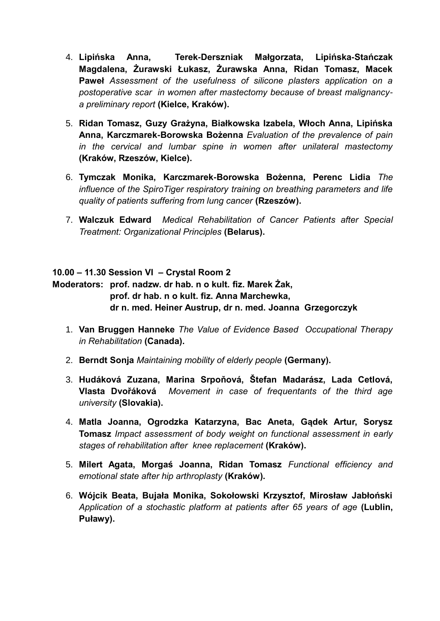- 4. **Lipińska Anna, Terek-Derszniak Małgorzata, Lipińska-Stańczak Magdalena, Żurawski Łukasz, Żurawska Anna, Ridan Tomasz, Macek Paweł** *Assessment of the usefulness of silicone plasters application on a postoperative scar in women after mastectomy because of breast malignancya preliminary report* **(Kielce, Kraków).**
- 5. **Ridan Tomasz, Guzy Grażyna, Białkowska Izabela, Włoch Anna, Lipińska Anna, Karczmarek-Borowska Bożenna** *Evaluation of the prevalence of pain in the cervical and lumbar spine in women after unilateral mastectomy* **(Kraków, Rzeszów, Kielce).**
- 6. **Tymczak Monika, Karczmarek-Borowska Bożenna, Perenc Lidia** *The influence of the SpiroTiger respiratory training on breathing parameters and life quality of patients suffering from lung cancer* **(Rzeszów).**
- 7. **Walczuk Edward** *Medical Rehabilitation of Cancer Patients after Special Treatment: Organizational Principles* **(Belarus).**

## **10.00 – 11.30 Session VI – Crystal Room 2**

**Moderators: prof. nadzw. dr hab. n o kult. fiz. Marek Żak, prof. dr hab. n o kult. fiz. Anna Marchewka, dr n. med. Heiner Austrup, dr n. med. Joanna Grzegorczyk**

- 1. **Van Bruggen Hanneke** *The Value of Evidence Based Occupational Therapy in Rehabilitation* **(Canada).**
- 2. **Berndt Sonja** *Maintaining mobility of elderly people* **(Germany).**
- 3. **Hudáková Zuzana, Marina Srpoňová, Štefan Madarász, Lada Cetlová, Vlasta Dvořáková** *Movement in case of frequentants of the third age university* **(Slovakia).**
- 4. **Matla Joanna, Ogrodzka Katarzyna, Bac Aneta, Gądek Artur, Sorysz Tomasz** *Impact assessment of body weight on functional assessment in early stages of rehabilitation after knee replacement* **(Kraków).**
- 5. **Milert Agata, Morgaś Joanna, Ridan Tomasz** *Functional efficiency and emotional state after hip arthroplasty* **(Kraków).**
- 6. **Wójcik Beata, Bujała Monika, Sokołowski Krzysztof, Mirosław Jabłoński** *Application of a stochastic platform at patients after 65 years of age* **(Lublin, Puławy).**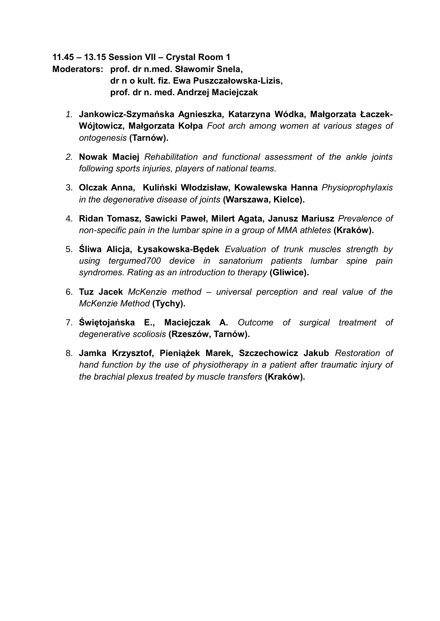**11.45 – 13.15 Session VII – Crystal Room 1**

**Moderators: prof. dr n.med. Sławomir Snela, dr n o kult. fiz. Ewa Puszczałowska-Lizis, prof. dr n. med. Andrzej Maciejczak**

- *1.* **Jankowicz-Szymańska Agnieszka, Katarzyna Wódka, Małgorzata Łaczek-Wójtowicz, Małgorzata Kołpa** *Foot arch among women at various stages of ontogenesis* **(Tarnów).**
- *2.* **Nowak Maciej** *Rehabilitation and functional assessment of the ankle joints following sports injuries, players of national teams.*
- 3. **Olczak Anna, Kuliński Włodzisław, Kowalewska Hanna** *Physioprophylaxis in the degenerative disease of joints* **(Warszawa, Kielce).**
- 4. **Ridan Tomasz, Sawicki Paweł, Milert Agata, Janusz Mariusz** *Prevalence of non-specific pain in the lumbar spine in a group of MMA athletes* **(Kraków).**
- 5. **Śliwa Alicja, Łysakowska-Będek** *Evaluation of trunk muscles strength by using tergumed700 device in sanatorium patients lumbar spine pain syndromes. Rating as an introduction to therapy* **(Gliwice).**
- 6. **Tuz Jacek** *McKenzie method – universal perception and real value of the McKenzie Method* **(Tychy).**
- 7. **Świętojańska E., Maciejczak A.** *Outcome of surgical treatment of degenerative scoliosis* **(Rzeszów, Tarnów).**
- 8. **Jamka Krzysztof, Pieniążek Marek, Szczechowicz Jakub** *Restoration of hand function by the use of physiotherapy in a patient after traumatic injury of the brachial plexus treated by muscle transfers* **(Kraków).**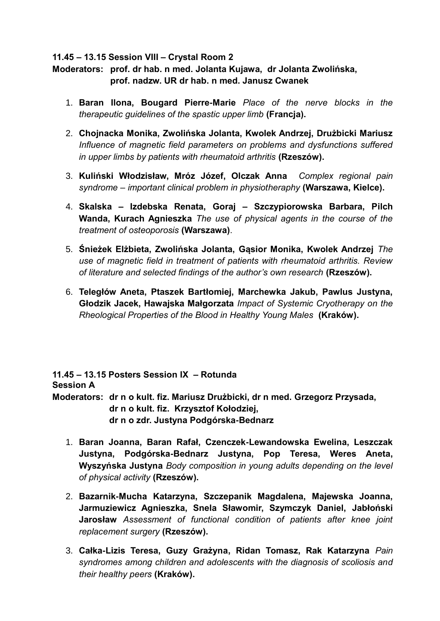## **11.45 – 13.15 Session VIII – Crystal Room 2**

**Moderators: prof. dr hab. n med. Jolanta Kujawa, dr Jolanta Zwolińska, prof. nadzw. UR dr hab. n med. Janusz Cwanek**

- 1. **Baran Ilona, Bougard Pierre-Marie** *Place of the nerve blocks in the therapeutic guidelines of the spastic upper limb* **(Francja).**
- 2. **Chojnacka Monika, Zwolińska Jolanta, Kwolek Andrzej, Drużbicki Mariusz** *Influence of magnetic field parameters on problems and dysfunctions suffered in upper limbs by patients with rheumatoid arthritis* **(Rzeszów).**
- 3. **Kuliński Włodzisław, Mróz Józef, Olczak Anna** *Complex regional pain syndrome – important clinical problem in physiotheraphy* **(Warszawa, Kielce).**
- 4. **Skalska – Izdebska Renata, Goraj – Szczypiorowska Barbara, Pilch Wanda, Kurach Agnieszka** *The use of physical agents in the course of the treatment of osteoporosis* **(Warszawa)**.
- 5. **Śnieżek Elżbieta, Zwolińska Jolanta, Gąsior Monika, Kwolek Andrzej** *The use of magnetic field in treatment of patients with rheumatoid arthritis. Review of literature and selected findings of the author's own research* **(Rzeszów).**
- 6. **Teległów Aneta, Ptaszek Bartłomiej, Marchewka Jakub, Pawlus Justyna, Głodzik Jacek, Hawajska Małgorzata** *Impact of Systemic Cryotherapy on the Rheological Properties of the Blood in Healthy Young Males* **(Kraków).**

**11.45 – 13.15 Posters Session IX – Rotunda Session A Moderators: dr n o kult. fiz. Mariusz Drużbicki, dr n med. Grzegorz Przysada, dr n o kult. fiz. Krzysztof Kołodziej,** 

- **dr n o zdr. Justyna Podgórska-Bednarz**
- 1. **Baran Joanna, Baran Rafał, Czenczek-Lewandowska Ewelina, Leszczak Justyna, Podgórska-Bednarz Justyna, Pop Teresa, Weres Aneta, Wyszyńska Justyna** *Body composition in young adults depending on the level of physical activity* **(Rzeszów).**
- 2. **Bazarnik-Mucha Katarzyna, Szczepanik Magdalena, Majewska Joanna, Jarmuziewicz Agnieszka, Snela Sławomir, Szymczyk Daniel, Jabłoński Jarosław** *Assessment of functional condition of patients after knee joint replacement surgery* **(Rzeszów).**
- 3. **Całka-Lizis Teresa, Guzy Grażyna, Ridan Tomasz, Rak Katarzyna** *Pain syndromes among children and adolescents with the diagnosis of scoliosis and their healthy peers* **(Kraków).**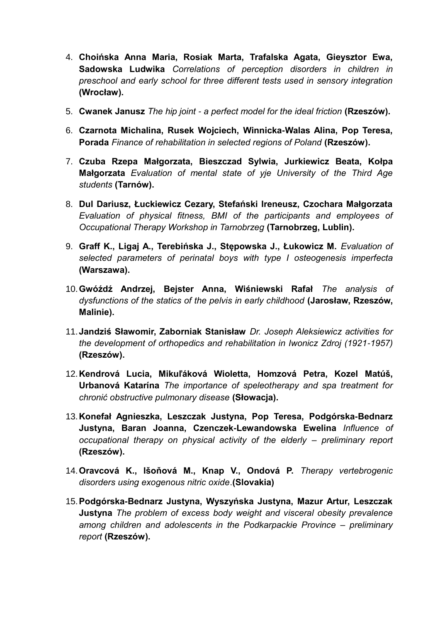- 4. **Choińska Anna Maria, Rosiak Marta, Trafalska Agata, Gieysztor Ewa, Sadowska Ludwika** *Correlations of perception disorders in children in preschool and early school for three different tests used in sensory integration*  **(Wrocław).**
- 5. **Cwanek Janusz** *The hip joint - a perfect model for the ideal friction* **(Rzeszów).**
- 6. **Czarnota Michalina, Rusek Wojciech, Winnicka-Walas Alina, Pop Teresa, Porada** *Finance of rehabilitation in selected regions of Poland* **(Rzeszów).**
- 7. **Czuba Rzepa Małgorzata, Bieszczad Sylwia, Jurkiewicz Beata, Kołpa Małgorzata** *Evaluation of mental state of yje University of the Third Age students* **(Tarnów).**
- 8. **Dul Dariusz, Łuckiewicz Cezary, Stefański Ireneusz, Czochara Małgorzata** *Evaluation of physical fitness, BMI of the participants and employees of Occupational Therapy Workshop in Tarnobrzeg* **(Tarnobrzeg, Lublin).**
- 9. **Graff K., Ligaj A., Terebińska J., Stępowska J., Łukowicz M.** *Evaluation of selected parameters of perinatal boys with type I osteogenesis imperfecta* **(Warszawa).**
- 10.**Gwóźdź Andrzej, Bejster Anna, Wiśniewski Rafał** *The analysis of dysfunctions of the statics of the pelvis in early childhood* **(Jarosław, Rzeszów, Malinie).**
- 11.**Jandziś Sławomir, Zaborniak Stanisław** *Dr. Joseph Aleksiewicz activities for the development of orthopedics and rehabilitation in Iwonicz Zdroj (1921-1957)*  **(Rzeszów).**
- 12.**Kendrová Lucia, Mikuľáková Wioletta, Homzová Petra, Kozel Matúš, Urbanová Katarína** *The importance of speleotherapy and spa treatment for chronić obstructive pulmonary disease* **(Słowacja).**
- 13.**Konefał Agnieszka, Leszczak Justyna, Pop Teresa, Podgórska-Bednarz Justyna, Baran Joanna, Czenczek-Lewandowska Ewelina** *Influence of occupational therapy on physical activity of the elderly – preliminary report*  **(Rzeszów).**
- 14.**Oravcová K., Išoňová M., Knap V., Ondová P.** *Therapy vertebrogenic disorders using exogenous nitric oxide*.**(Slovakia)**
- 15.**Podgórska-Bednarz Justyna, Wyszyńska Justyna, Mazur Artur, Leszczak Justyna** *The problem of excess body weight and visceral obesity prevalence among children and adolescents in the Podkarpackie Province – preliminary report* **(Rzeszów).**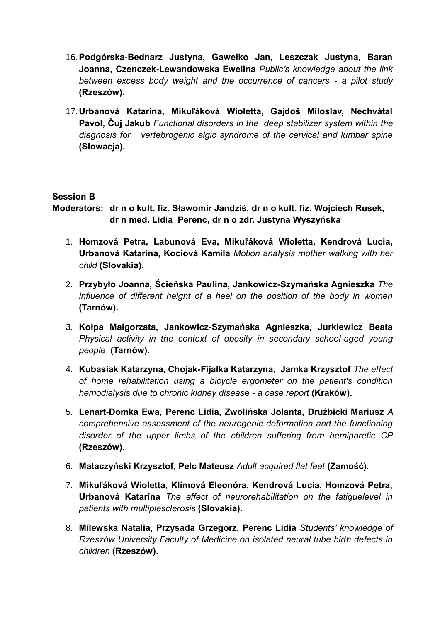- 16.**Podgórska-Bednarz Justyna, Gawełko Jan, Leszczak Justyna, Baran Joanna, Czenczek-Lewandowska Ewelina** *Public's knowledge about the link between excess body weight and the occurrence of cancers - a pilot study* **(Rzeszów).**
- 17.**Urbanová Katarína, Mikuľáková Wioletta, Gajdoš Miloslav, Nechvátal Pavol, Čuj Jakub** *Functional disorders in the deep stabilizer system within the diagnosis for vertebrogenic algic syndrome of the cervical and lumbar spine* **(Słowacja).**

## **Session B**

**Moderators: dr n o kult. fiz. Sławomir Jandziś, dr n o kult. fiz. Wojciech Rusek, dr n med. Lidia Perenc, dr n o zdr. Justyna Wyszyńska**

- 1. **Homzová Petra, Labunová Eva, Mikuľáková Wioletta, Kendrová Lucia, Urbanová Katarína, Kociová Kamila** *Motion analysis mother walking with her child* **(Slovakia).**
- 2. **Przybyło Joanna, Ścieńska Paulina, Jankowicz-Szymańska Agnieszka** *The influence of different height of a heel on the position of the body in women*  **(Tarnów).**
- 3. **Kołpa Małgorzata, Jankowicz-Szymańska Agnieszka, Jurkiewicz Beata** *Physical activity in the context of obesity in secondary school-aged young people* **(Tarnów).**
- 4. **Kubasiak Katarzyna, Chojak-Fijałka Katarzyna, Jamka Krzysztof** *The effect of home rehabilitation using a bicycle ergometer on the patient's condition hemodialysis due to chronic kidney disease - a case report* **(Kraków).**
- 5. **Lenart-Domka Ewa, Perenc Lidia, Zwolińska Jolanta, Drużbicki Mariusz** *A comprehensive assessment of the neurogenic deformation and the functioning disorder of the upper limbs of the children suffering from hemiparetic CP*  **(Rzeszów).**
- 6. **Mataczyński Krzysztof, Pelc Mateusz** *Adult acquired flat feet* **(Zamość)**.
- 7. **Mikuľáková Wioletta, Klímová Eleonóra, Kendrová Lucia, Homzová Petra, Urbanová Katarína** *The effect of neurorehabilitation on the fatiguelevel in patients with multiplesclerosis* **(Slovakia).**
- 8. **Milewska Natalia, Przysada Grzegorz, Perenc Lidia** *Students' knowledge of Rzeszów University Faculty of Medicine on isolated neural tube birth defects in children* **(Rzeszów).**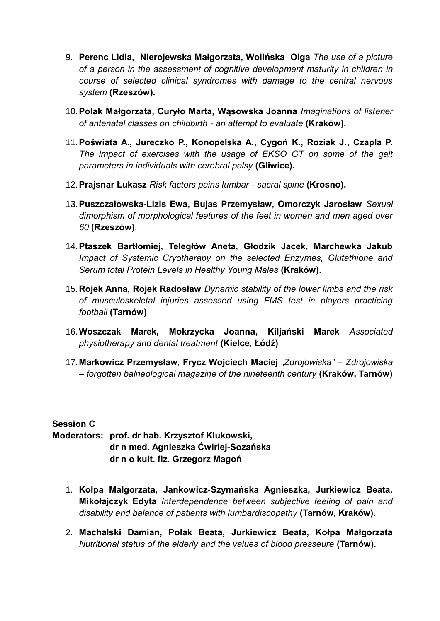- 9. **Perenc Lidia, Nierojewska Małgorzata, Wolińska Olga** *The use of a picture of a person in the assessment of cognitive development maturity in children in course of selected clinical syndromes with damage to the central nervous system* **(Rzeszów).**
- 10.**Polak Małgorzata, Curyło Marta, Wąsowska Joanna** *Imaginations of listener of antenatal classes on childbirth - an attempt to evaluate* **(Kraków).**
- 11.**Poświata A., Jureczko P., Konopelska A., Cygoń K., Roziak J., Czapla P.** *The impact of exercises with the usage of EKSO GT on some of the gait parameters in individuals with cerebral palsy* **(Gliwice).**
- 12.**Prajsnar Łukasz** *Risk factors pains lumbar - sacral spine* **(Krosno).**
- 13.**Puszczałowska-Lizis Ewa, Bujas Przemysław, Omorczyk Jarosław** *Sexual dimorphism of morphological features of the feet in women and men aged over 60* **(Rzeszów)**.
- 14.**Ptaszek Bartłomiej, Teległów Aneta, Głodzik Jacek, Marchewka Jakub** *Impact of Systemic Cryotherapy on the selected Enzymes, Glutathione and Serum total Protein Levels in Healthy Young Males* **(Kraków).**
- 15.**Rojek Anna, Rojek Radosław** *Dynamic stability of the lower limbs and the risk of musculoskeletal injuries assessed using FMS test in players practicing football* **(Tarnów)**
- 16.**Woszczak Marek, Mokrzycka Joanna, Kiljański Marek** *Associated physiotherapy and dental treatment* **(Kielce, Łódź)**
- 17.**Markowicz Przemysław, Frycz Wojciech Maciej** *"Zdrojowiska" – Zdrojowiska – forgotten balneological magazine of the nineteenth century* **(Kraków, Tarnów)**

## **Session C**

**Moderators: prof. dr hab. Krzysztof Klukowski, dr n med. Agnieszka Ćwirlej-Sozańska dr n o kult. fiz. Grzegorz Magoń**

- 1. **Kołpa Małgorzata, Jankowicz-Szymańska Agnieszka, Jurkiewicz Beata, Mikołajczyk Edyta** *Interdependence between subjective feeling of pain and disability and balance of patients with lumbardiscopathy* **(Tarnów, Kraków).**
- 2. **Machalski Damian, Polak Beata, Jurkiewicz Beata, Kołpa Małgorzata** *Nutritional status of the elderly and the values of blood presseure* **(Tarnów).**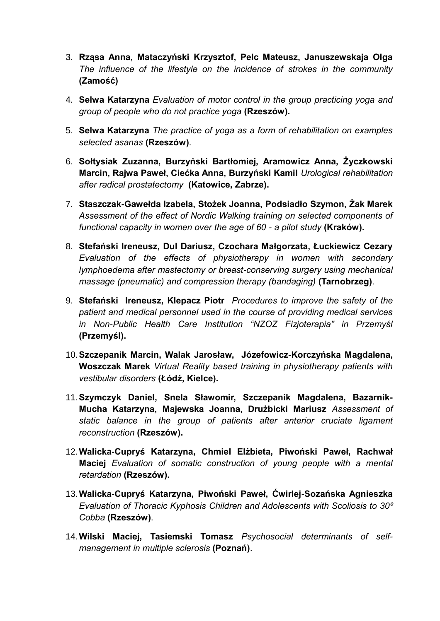- 3. **Rząsa Anna, Mataczyński Krzysztof, Pelc Mateusz, Januszewskaja Olga** *The influence of the lifestyle on the incidence of strokes in the community* **(Zamość)**
- 4. **Selwa Katarzyna** *Evaluation of motor control in the group practicing yoga and group of people who do not practice yoga* **(Rzeszów).**
- 5. **Selwa Katarzyna** *The practice of yoga as a form of rehabilitation on examples selected asanas* **(Rzeszów)**.
- 6. **Sołtysiak Zuzanna, Burzyński Bartłomiej, Aramowicz Anna, Życzkowski Marcin, Rajwa Paweł, Ciećka Anna, Burzyński Kamil** *Urological rehabilitation after radical prostatectomy* **(Katowice, Zabrze).**
- 7. **Staszczak-Gawełda Izabela, Stożek Joanna, Podsiadło Szymon, Żak Marek** *Assessment of the effect of Nordic Walking training on selected components of functional capacity in women over the age of 60 - a pilot study* **(Kraków).**
- 8. **Stefański Ireneusz, Dul Dariusz, Czochara Małgorzata, Łuckiewicz Cezary** *Evaluation of the effects of physiotherapy in women with secondary lymphoedema after mastectomy or breast-conserving surgery using mechanical massage (pneumatic) and compression therapy (bandaging)* **(Tarnobrzeg)**.
- 9. **Stefański Ireneusz, Klepacz Piotr** *Procedures to improve the safety of the patient and medical personnel used in the course of providing medical services in Non-Public Health Care Institution "NZOZ Fizjoterapia" in Przemyśl*  **(Przemyśl).**
- 10.**Szczepanik Marcin, Walak Jarosław, Józefowicz-Korczyńska Magdalena, Woszczak Marek** *Virtual Reality based training in physiotherapy patients with vestibular disorders* **(Łódź, Kielce).**
- 11.**Szymczyk Daniel, Snela Sławomir, Szczepanik Magdalena, Bazarnik-Mucha Katarzyna, Majewska Joanna, Drużbicki Mariusz** *Assessment of static balance in the group of patients after anterior cruciate ligament reconstruction* **(Rzeszów).**
- 12.**Walicka-Cupryś Katarzyna, Chmiel Elżbieta, Piwoński Paweł, Rachwał Maciej** *Evaluation of somatic construction of young people with a mental retardation* **(Rzeszów).**
- 13.**Walicka-Cupryś Katarzyna, Piwoński Paweł, Ćwirlej-Sozańska Agnieszka** *Evaluation of Thoracic Kyphosis Children and Adolescents with Scoliosis to 30⁰ Cobba* **(Rzeszów)**.
- 14.**Wilski Maciej, Tasiemski Tomasz** *Psychosocial determinants of selfmanagement in multiple sclerosis* **(Poznań)**.